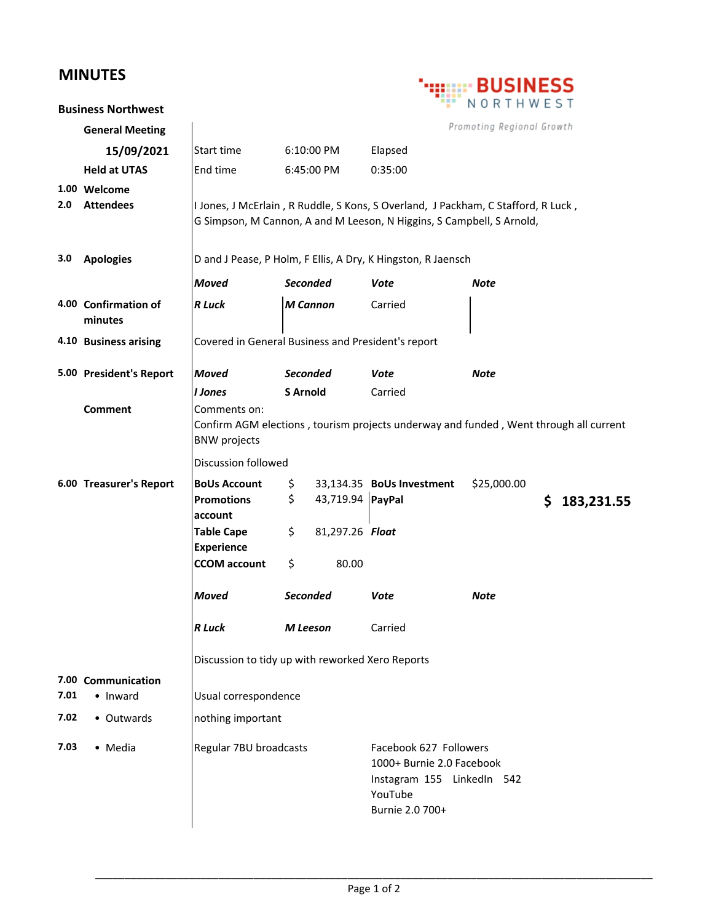## **MINUTES**

|      | .                                | <b>SINESS</b>                                                                                                                                              |                 |                                                                                                                 |                           |                           |    |            |
|------|----------------------------------|------------------------------------------------------------------------------------------------------------------------------------------------------------|-----------------|-----------------------------------------------------------------------------------------------------------------|---------------------------|---------------------------|----|------------|
|      | <b>Business Northwest</b>        |                                                                                                                                                            |                 |                                                                                                                 |                           | NORTHWEST                 |    |            |
|      | <b>General Meeting</b>           |                                                                                                                                                            |                 |                                                                                                                 |                           | Promoting Regional Growth |    |            |
|      | 15/09/2021                       | <b>Start time</b>                                                                                                                                          | 6:10:00 PM      |                                                                                                                 | Elapsed                   |                           |    |            |
|      | <b>Held at UTAS</b>              | End time                                                                                                                                                   | 6:45:00 PM      |                                                                                                                 | 0:35:00                   |                           |    |            |
| 2.0  | 1.00 Welcome<br><b>Attendees</b> | I Jones, J McErlain, R Ruddle, S Kons, S Overland, J Packham, C Stafford, R Luck,<br>G Simpson, M Cannon, A and M Leeson, N Higgins, S Campbell, S Arnold, |                 |                                                                                                                 |                           |                           |    |            |
| 3.0  | <b>Apologies</b>                 | D and J Pease, P Holm, F Ellis, A Dry, K Hingston, R Jaensch                                                                                               |                 |                                                                                                                 |                           |                           |    |            |
|      |                                  | <b>Moved</b>                                                                                                                                               | <b>Seconded</b> |                                                                                                                 | Vote                      | Note                      |    |            |
|      | 4.00 Confirmation of<br>minutes  | <b>R</b> Luck                                                                                                                                              | <b>M</b> Cannon |                                                                                                                 | Carried                   |                           |    |            |
|      | 4.10 Business arising            | Covered in General Business and President's report                                                                                                         |                 |                                                                                                                 |                           |                           |    |            |
|      | 5.00 President's Report          | <b>Moved</b>                                                                                                                                               | <b>Seconded</b> |                                                                                                                 | Vote                      | <b>Note</b>               |    |            |
|      |                                  | <b>I</b> Jones                                                                                                                                             | <b>S</b> Arnold |                                                                                                                 | Carried                   |                           |    |            |
|      | <b>Comment</b>                   | Comments on:<br>Confirm AGM elections, tourism projects underway and funded, Went through all current<br><b>BNW</b> projects                               |                 |                                                                                                                 |                           |                           |    |            |
|      |                                  | <b>Discussion followed</b>                                                                                                                                 |                 |                                                                                                                 |                           |                           |    |            |
|      | 6.00 Treasurer's Report          | <b>BoUs Account</b><br><b>Promotions</b><br>account<br><b>Table Cape</b>                                                                                   | \$<br>\$<br>\$  | 43,719.94 PayPal<br>81,297.26 Float                                                                             | 33,134.35 BoUs Investment | \$25,000.00               | \$ | 183,231.55 |
|      |                                  | <b>Experience</b>                                                                                                                                          |                 |                                                                                                                 |                           |                           |    |            |
|      |                                  | <b>CCOM</b> account                                                                                                                                        | \$              | 80.00                                                                                                           |                           |                           |    |            |
|      |                                  | <b>Moved</b>                                                                                                                                               | <b>Seconded</b> |                                                                                                                 | Vote                      | <b>Note</b>               |    |            |
|      |                                  | <b>R</b> Luck                                                                                                                                              | M Leeson        |                                                                                                                 | Carried                   |                           |    |            |
|      |                                  | Discussion to tidy up with reworked Xero Reports                                                                                                           |                 |                                                                                                                 |                           |                           |    |            |
|      | 7.00 Communication               |                                                                                                                                                            |                 |                                                                                                                 |                           |                           |    |            |
| 7.01 | • Inward                         | Usual correspondence                                                                                                                                       |                 |                                                                                                                 |                           |                           |    |            |
| 7.02 | • Outwards                       | nothing important                                                                                                                                          |                 |                                                                                                                 |                           |                           |    |            |
| 7.03 | • Media                          | Regular 7BU broadcasts                                                                                                                                     |                 | Facebook 627 Followers<br>1000+ Burnie 2.0 Facebook<br>Instagram 155 LinkedIn 542<br>YouTube<br>Burnie 2.0 700+ |                           |                           |    |            |